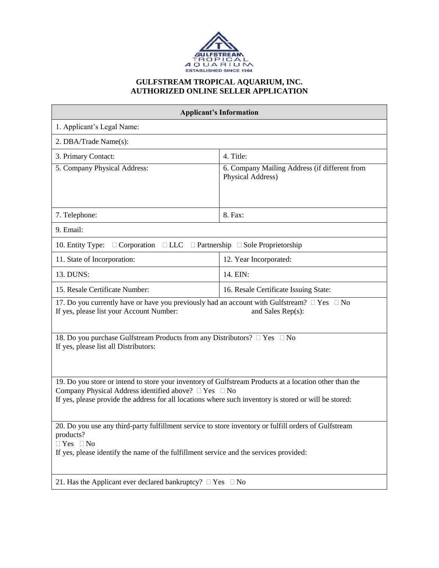

### **GULFSTREAM TROPICAL AQUARIUM, INC. AUTHORIZED ONLINE SELLER APPLICATION**

| <b>Applicant's Information</b>                                                                                                                                                                                                                                                      |                                                                    |  |
|-------------------------------------------------------------------------------------------------------------------------------------------------------------------------------------------------------------------------------------------------------------------------------------|--------------------------------------------------------------------|--|
| 1. Applicant's Legal Name:                                                                                                                                                                                                                                                          |                                                                    |  |
| 2. DBA/Trade Name(s):                                                                                                                                                                                                                                                               |                                                                    |  |
| 3. Primary Contact:                                                                                                                                                                                                                                                                 | 4. Title:                                                          |  |
| 5. Company Physical Address:                                                                                                                                                                                                                                                        | 6. Company Mailing Address (if different from<br>Physical Address) |  |
| 7. Telephone:                                                                                                                                                                                                                                                                       | 8. Fax:                                                            |  |
| 9. Email:                                                                                                                                                                                                                                                                           |                                                                    |  |
| 10. Entity Type:<br>$\Box$ Corporation $\Box$ LLC $\Box$ Partnership $\Box$ Sole Proprietorship                                                                                                                                                                                     |                                                                    |  |
| 11. State of Incorporation:                                                                                                                                                                                                                                                         | 12. Year Incorporated:                                             |  |
| 13. DUNS:                                                                                                                                                                                                                                                                           | 14. EIN:                                                           |  |
| 15. Resale Certificate Number:                                                                                                                                                                                                                                                      | 16. Resale Certificate Issuing State:                              |  |
| 17. Do you currently have or have you previously had an account with Gulfstream? $\Box$ Yes $\Box$ No<br>If yes, please list your Account Number:<br>and Sales Rep(s):                                                                                                              |                                                                    |  |
| 18. Do you purchase Gulfstream Products from any Distributors? □ Yes □ No<br>If yes, please list all Distributors:                                                                                                                                                                  |                                                                    |  |
| 19. Do you store or intend to store your inventory of Gulfstream Products at a location other than the<br>Company Physical Address identified above? $\Box$ Yes $\Box$ No<br>If yes, please provide the address for all locations where such inventory is stored or will be stored: |                                                                    |  |
| 20. Do you use any third-party fulfillment service to store inventory or fulfill orders of Gulfstream<br>products?<br>$\Box$ Yes $\Box$ No<br>If yes, please identify the name of the fulfillment service and the services provided:                                                |                                                                    |  |
| 21. Has the Applicant ever declared bankruptcy? $\Box$ Yes $\Box$ No                                                                                                                                                                                                                |                                                                    |  |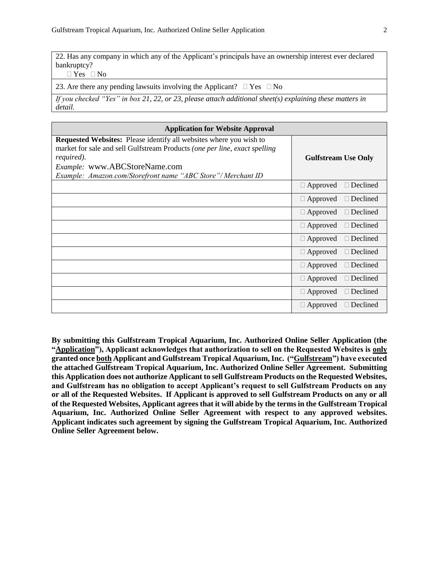22. Has any company in which any of the Applicant's principals have an ownership interest ever declared bankruptcy?

 $\Box$  Yes  $\Box$  No

23. Are there any pending lawsuits involving the Applicant?  $\Box$  Yes  $\Box$  No

*If you checked "Yes" in box 21, 22, or 23, please attach additional sheet(s) explaining these matters in detail.*

| <b>Application for Website Approval</b>                                                                                                                                                                                                                                       |                                    |  |
|-------------------------------------------------------------------------------------------------------------------------------------------------------------------------------------------------------------------------------------------------------------------------------|------------------------------------|--|
| <b>Requested Websites:</b> Please identify all websites where you wish to<br>market for sale and sell Gulfstream Products (one per line, exact spelling<br>required).<br><i>Example:</i> www.ABCStoreName.com<br>Example: Amazon.com/Storefront name "ABC Store"/ Merchant ID | <b>Gulfstream Use Only</b>         |  |
|                                                                                                                                                                                                                                                                               | $\Box$ Approved<br>$\Box$ Declined |  |
|                                                                                                                                                                                                                                                                               | $\Box$ Approved<br>$\Box$ Declined |  |
|                                                                                                                                                                                                                                                                               | Declined<br>$\Box$ Approved        |  |
|                                                                                                                                                                                                                                                                               | $\Box$ Declined<br>$\Box$ Approved |  |
|                                                                                                                                                                                                                                                                               | $\Box$ Declined<br>$\Box$ Approved |  |
|                                                                                                                                                                                                                                                                               | $\Box$ Approved<br>$\Box$ Declined |  |
|                                                                                                                                                                                                                                                                               | Declined<br>$\Box$ Approved        |  |
|                                                                                                                                                                                                                                                                               | $\Box$ Approved<br>$\Box$ Declined |  |
|                                                                                                                                                                                                                                                                               | $\Box$ Declined<br>$\Box$ Approved |  |
|                                                                                                                                                                                                                                                                               | Declined<br>$\Box$ Approved        |  |

**By submitting this Gulfstream Tropical Aquarium, Inc. Authorized Online Seller Application (the "Application"), Applicant acknowledges that authorization to sell on the Requested Websites is only granted once both Applicant and Gulfstream Tropical Aquarium, Inc. ("Gulfstream") have executed the attached Gulfstream Tropical Aquarium, Inc. Authorized Online Seller Agreement. Submitting this Application does not authorize Applicant to sell Gulfstream Products on the Requested Websites, and Gulfstream has no obligation to accept Applicant's request to sell Gulfstream Products on any or all of the Requested Websites. If Applicant is approved to sell Gulfstream Products on any or all of the Requested Websites, Applicant agrees that it will abide by the terms in the Gulfstream Tropical Aquarium, Inc. Authorized Online Seller Agreement with respect to any approved websites. Applicant indicates such agreement by signing the Gulfstream Tropical Aquarium, Inc. Authorized Online Seller Agreement below.**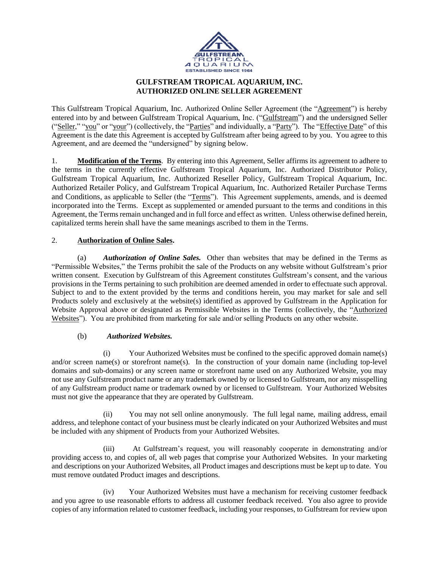

# **GULFSTREAM TROPICAL AQUARIUM, INC. AUTHORIZED ONLINE SELLER AGREEMENT**

This Gulfstream Tropical Aquarium, Inc. Authorized Online Seller Agreement (the "Agreement") is hereby entered into by and between Gulfstream Tropical Aquarium, Inc. ("Gulfstream") and the undersigned Seller ("Seller," "you" or "your") (collectively, the "Parties" and individually, a "Party"). The "Effective Date" of this Agreement is the date this Agreement is accepted by Gulfstream after being agreed to by you. You agree to this Agreement, and are deemed the "undersigned" by signing below.

1. **Modification of the Terms**. By entering into this Agreement, Seller affirms its agreement to adhere to the terms in the currently effective Gulfstream Tropical Aquarium, Inc. Authorized Distributor Policy, Gulfstream Tropical Aquarium, Inc. Authorized Reseller Policy, Gulfstream Tropical Aquarium, Inc. Authorized Retailer Policy, and Gulfstream Tropical Aquarium, Inc. Authorized Retailer Purchase Terms and Conditions, as applicable to Seller (the "Terms"). This Agreement supplements, amends, and is deemed incorporated into the Terms. Except as supplemented or amended pursuant to the terms and conditions in this Agreement, the Terms remain unchanged and in full force and effect as written. Unless otherwise defined herein, capitalized terms herein shall have the same meanings ascribed to them in the Terms.

# 2. **Authorization of Online Sales.**

(a) *Authorization of Online Sales.* Other than websites that may be defined in the Terms as "Permissible Websites," the Terms prohibit the sale of the Products on any website without Gulfstream's prior written consent. Execution by Gulfstream of this Agreement constitutes Gulfstream's consent, and the various provisions in the Terms pertaining to such prohibition are deemed amended in order to effectuate such approval. Subject to and to the extent provided by the terms and conditions herein, you may market for sale and sell Products solely and exclusively at the website(s) identified as approved by Gulfstream in the Application for Website Approval above or designated as Permissible Websites in the Terms (collectively, the "Authorized Websites"). You are prohibited from marketing for sale and/or selling Products on any other website.

## (b) *Authorized Websites.*

(i) Your Authorized Websites must be confined to the specific approved domain name(s) and/or screen name(s) or storefront name(s). In the construction of your domain name (including top-level domains and sub-domains) or any screen name or storefront name used on any Authorized Website, you may not use any Gulfstream product name or any trademark owned by or licensed to Gulfstream, nor any misspelling of any Gulfstream product name or trademark owned by or licensed to Gulfstream. Your Authorized Websites must not give the appearance that they are operated by Gulfstream.

(ii) You may not sell online anonymously. The full legal name, mailing address, email address, and telephone contact of your business must be clearly indicated on your Authorized Websites and must be included with any shipment of Products from your Authorized Websites.

(iii) At Gulfstream's request, you will reasonably cooperate in demonstrating and/or providing access to, and copies of, all web pages that comprise your Authorized Websites. In your marketing and descriptions on your Authorized Websites, all Product images and descriptions must be kept up to date. You must remove outdated Product images and descriptions.

(iv) Your Authorized Websites must have a mechanism for receiving customer feedback and you agree to use reasonable efforts to address all customer feedback received. You also agree to provide copies of any information related to customer feedback, including your responses, to Gulfstream for review upon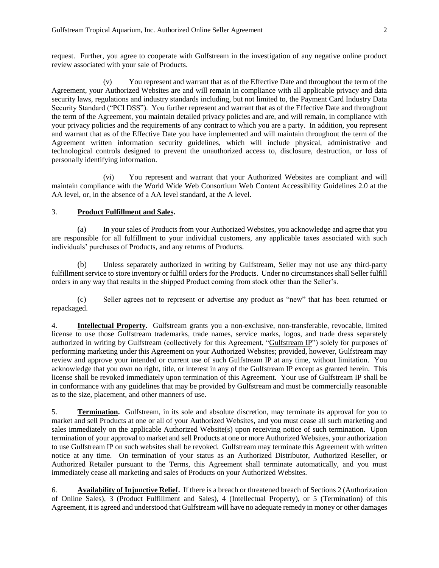request. Further, you agree to cooperate with Gulfstream in the investigation of any negative online product review associated with your sale of Products.

(v) You represent and warrant that as of the Effective Date and throughout the term of the Agreement, your Authorized Websites are and will remain in compliance with all applicable privacy and data security laws, regulations and industry standards including, but not limited to, the Payment Card Industry Data Security Standard ("PCI DSS"). You further represent and warrant that as of the Effective Date and throughout the term of the Agreement, you maintain detailed privacy policies and are, and will remain, in compliance with your privacy policies and the requirements of any contract to which you are a party. In addition, you represent and warrant that as of the Effective Date you have implemented and will maintain throughout the term of the Agreement written information security guidelines, which will include physical, administrative and technological controls designed to prevent the unauthorized access to, disclosure, destruction, or loss of personally identifying information.

(vi) You represent and warrant that your Authorized Websites are compliant and will maintain compliance with the World Wide Web Consortium Web Content Accessibility Guidelines 2.0 at the AA level, or, in the absence of a AA level standard, at the A level.

#### 3. **Product Fulfillment and Sales.**

(a) In your sales of Products from your Authorized Websites, you acknowledge and agree that you are responsible for all fulfillment to your individual customers, any applicable taxes associated with such individuals' purchases of Products, and any returns of Products.

(b) Unless separately authorized in writing by Gulfstream, Seller may not use any third-party fulfillment service to store inventory or fulfill orders for the Products. Under no circumstances shall Seller fulfill orders in any way that results in the shipped Product coming from stock other than the Seller's.

(c) Seller agrees not to represent or advertise any product as "new" that has been returned or repackaged.

4. **Intellectual Property.** Gulfstream grants you a non-exclusive, non-transferable, revocable, limited license to use those Gulfstream trademarks, trade names, service marks, logos, and trade dress separately authorized in writing by Gulfstream (collectively for this Agreement, "Gulfstream IP") solely for purposes of performing marketing under this Agreement on your Authorized Websites; provided, however, Gulfstream may review and approve your intended or current use of such Gulfstream IP at any time, without limitation. You acknowledge that you own no right, title, or interest in any of the Gulfstream IP except as granted herein. This license shall be revoked immediately upon termination of this Agreement. Your use of Gulfstream IP shall be in conformance with any guidelines that may be provided by Gulfstream and must be commercially reasonable as to the size, placement, and other manners of use.

5. **Termination.** Gulfstream, in its sole and absolute discretion, may terminate its approval for you to market and sell Products at one or all of your Authorized Websites, and you must cease all such marketing and sales immediately on the applicable Authorized Website(s) upon receiving notice of such termination. Upon termination of your approval to market and sell Products at one or more Authorized Websites, your authorization to use Gulfstream IP on such websites shall be revoked. Gulfstream may terminate this Agreement with written notice at any time. On termination of your status as an Authorized Distributor, Authorized Reseller, or Authorized Retailer pursuant to the Terms, this Agreement shall terminate automatically, and you must immediately cease all marketing and sales of Products on your Authorized Websites.

6. **Availability of Injunctive Relief.** If there is a breach or threatened breach of Sections 2 (Authorization of Online Sales), 3 (Product Fulfillment and Sales), 4 (Intellectual Property), or 5 (Termination) of this Agreement, it is agreed and understood that Gulfstream will have no adequate remedy in money or other damages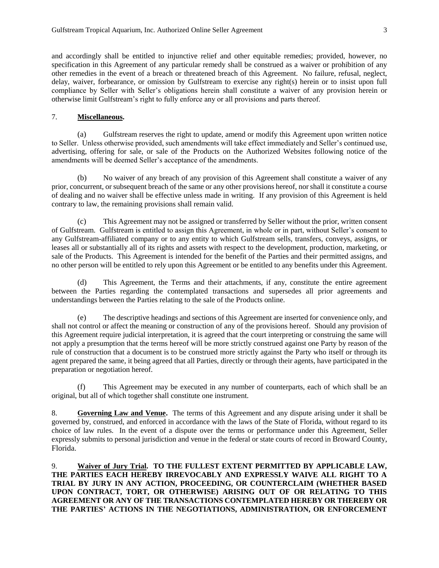and accordingly shall be entitled to injunctive relief and other equitable remedies; provided, however, no specification in this Agreement of any particular remedy shall be construed as a waiver or prohibition of any other remedies in the event of a breach or threatened breach of this Agreement. No failure, refusal, neglect, delay, waiver, forbearance, or omission by Gulfstream to exercise any right(s) herein or to insist upon full compliance by Seller with Seller's obligations herein shall constitute a waiver of any provision herein or otherwise limit Gulfstream's right to fully enforce any or all provisions and parts thereof.

#### 7. **Miscellaneous.**

(a) Gulfstream reserves the right to update, amend or modify this Agreement upon written notice to Seller. Unless otherwise provided, such amendments will take effect immediately and Seller's continued use, advertising, offering for sale, or sale of the Products on the Authorized Websites following notice of the amendments will be deemed Seller's acceptance of the amendments.

(b) No waiver of any breach of any provision of this Agreement shall constitute a waiver of any prior, concurrent, or subsequent breach of the same or any other provisions hereof, nor shall it constitute a course of dealing and no waiver shall be effective unless made in writing. If any provision of this Agreement is held contrary to law, the remaining provisions shall remain valid.

(c) This Agreement may not be assigned or transferred by Seller without the prior, written consent of Gulfstream. Gulfstream is entitled to assign this Agreement, in whole or in part, without Seller's consent to any Gulfstream-affiliated company or to any entity to which Gulfstream sells, transfers, conveys, assigns, or leases all or substantially all of its rights and assets with respect to the development, production, marketing, or sale of the Products. This Agreement is intended for the benefit of the Parties and their permitted assigns, and no other person will be entitled to rely upon this Agreement or be entitled to any benefits under this Agreement.

(d) This Agreement, the Terms and their attachments, if any, constitute the entire agreement between the Parties regarding the contemplated transactions and supersedes all prior agreements and understandings between the Parties relating to the sale of the Products online.

(e) The descriptive headings and sections of this Agreement are inserted for convenience only, and shall not control or affect the meaning or construction of any of the provisions hereof. Should any provision of this Agreement require judicial interpretation, it is agreed that the court interpreting or construing the same will not apply a presumption that the terms hereof will be more strictly construed against one Party by reason of the rule of construction that a document is to be construed more strictly against the Party who itself or through its agent prepared the same, it being agreed that all Parties, directly or through their agents, have participated in the preparation or negotiation hereof.

(f) This Agreement may be executed in any number of counterparts, each of which shall be an original, but all of which together shall constitute one instrument.

8. **Governing Law and Venue.** The terms of this Agreement and any dispute arising under it shall be governed by, construed, and enforced in accordance with the laws of the State of Florida, without regard to its choice of law rules. In the event of a dispute over the terms or performance under this Agreement, Seller expressly submits to personal jurisdiction and venue in the federal or state courts of record in Broward County, Florida.

9. **Waiver of Jury Trial. TO THE FULLEST EXTENT PERMITTED BY APPLICABLE LAW, THE PARTIES EACH HEREBY IRREVOCABLY AND EXPRESSLY WAIVE ALL RIGHT TO A TRIAL BY JURY IN ANY ACTION, PROCEEDING, OR COUNTERCLAIM (WHETHER BASED UPON CONTRACT, TORT, OR OTHERWISE) ARISING OUT OF OR RELATING TO THIS AGREEMENT OR ANY OF THE TRANSACTIONS CONTEMPLATED HEREBY OR THEREBY OR THE PARTIES' ACTIONS IN THE NEGOTIATIONS, ADMINISTRATION, OR ENFORCEMENT**